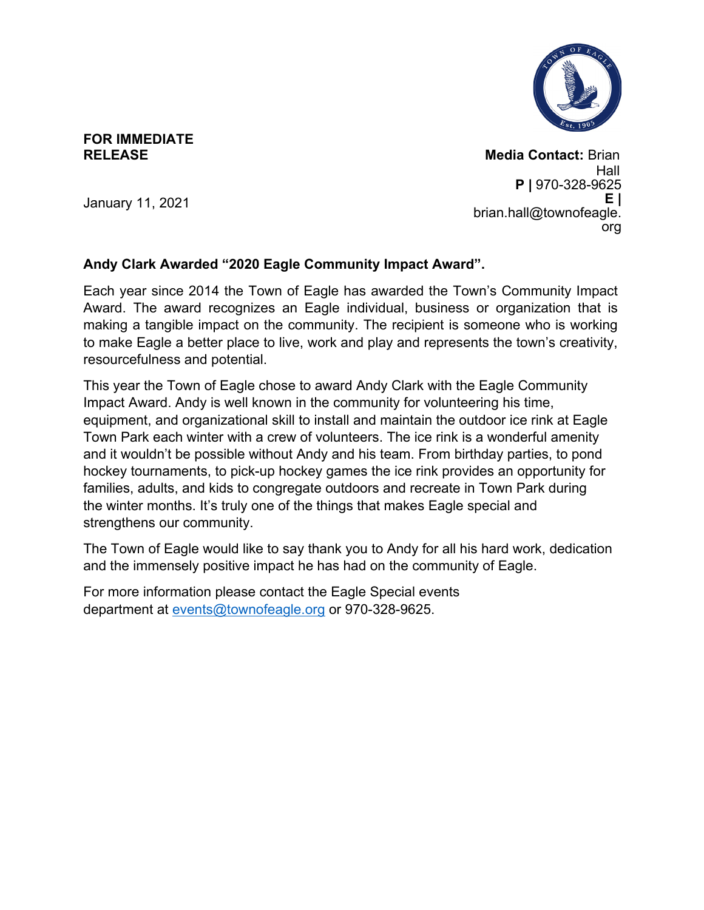

## **FOR IMMEDIATE RELEASE**

**Media Contact:** Brian Hall **P |** 970-328-9625 **E |** [brian.hall@townofeagle.](mailto:brian.hall@townofeagle.org) [org](mailto:brian.hall@townofeagle.org)

January 11, 2021

## **Andy Clark Awarded "2020 Eagle Community Impact Award".**

Each year since 2014 the Town of Eagle has awarded the Town's Community Impact Award. The award recognizes an Eagle individual, business or organization that is making a tangible impact on the community. The recipient is someone who is working to make Eagle a better place to live, work and play and represents the town's creativity, resourcefulness and potential.

This year the Town of Eagle chose to award Andy Clark with the Eagle Community Impact Award. Andy is well known in the community for volunteering his time, equipment, and organizational skill to install and maintain the outdoor ice rink at Eagle Town Park each winter with a crew of volunteers. The ice rink is a wonderful amenity and it wouldn't be possible without Andy and his team. From birthday parties, to pond hockey tournaments, to pick-up hockey games the ice rink provides an opportunity for families, adults, and kids to congregate outdoors and recreate in Town Park during the winter months. It's truly one of the things that makes Eagle special and strengthens our community.

The Town of Eagle would like to say thank you to Andy for all his hard work, dedication and the immensely positive impact he has had on the community of Eagle.

For more information please contact the Eagle Special events department at [events@townofeagle.org](mailto:events@townofeagle.org) or 970-328-9625.